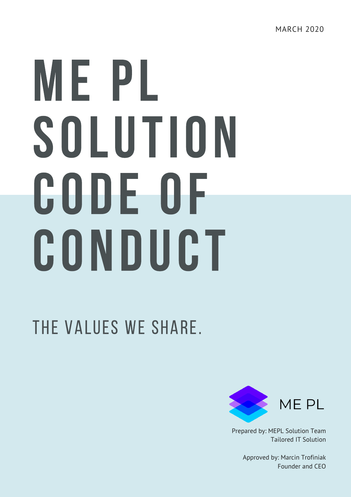# ME PL SOLUTION CODE OF CONDUCT

#### The values we share.



Prepared by: MEPL Solution Team Tailored IT Solution

> Approved by: Marcin Trofiniak Founder and CEO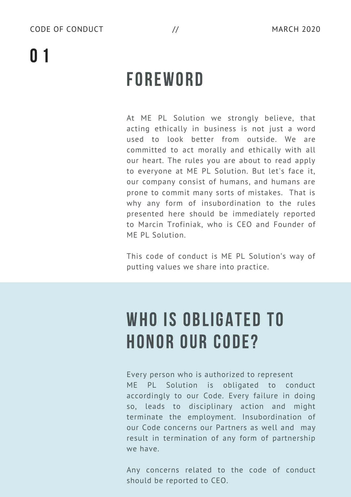## 0 1

## **FOREWORD**

At ME PL Solution we strongly believe, that acting ethically in business is not just a word used to look better from outside. We are committed to act morally and ethically with all our heart. The rules you are about to read apply to everyone at ME PL Solution. But let's face it, our company consist of humans, and humans are prone to commit many sorts of mistakes. That is why any form of insubordination to the rules presented here should be immediately reported to Marcin Trofiniak, who is CEO and Founder of ME PL Solution.

This code of conduct is ME PL Solution's way of putting values we share into practice.

#### WHO IS OBLIGATED TO HONOR OUR CODE?

Every person who is authorized to represent

ME PL Solution is obligated to conduct accordingly to our Code. Every failure in doing so, leads to disciplinary action and might terminate the employment. Insubordination of our Code concerns our Partners as well and may result in termination of any form of partnership we have.

Any concerns related to the code of conduct should be reported to CEO.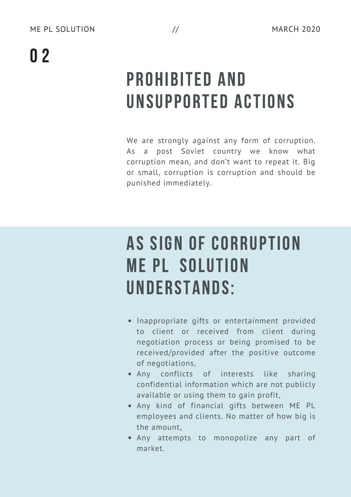## PROHIBITED AND UNSUPPORTED ACTIONS

We are strongly against any form of corruption. As a post Soviet country we know what corruption mean, and don't want to repeat it. Big or small, corruption is corruption and should be punished immediately.

#### AS SIGN OF CORRUPTION ME PL SOLUTION UNDERSTANDS:

- Inappropriate gifts or entertainment provided to client or received from client during negotiation process or being promised to be received/provided after the positive outcome of negotiations,
- Any conflicts of interests like sharing confidential information which are not publicly available or using them to gain profit,
- Any kind of financial gifts between ME PL employees and clients. No matter of how big is the amount,
- Any attempts to monopolize any part of market.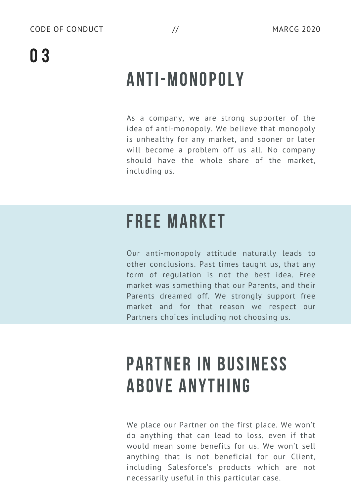## 0 3

## ANTI-MONOPOLY

As a company, we are strong supporter of the idea of anti-monopoly. We believe that monopoly is unhealthy for any market, and sooner or later will become a problem off us all. No company should have the whole share of the market, including us.

#### FREE MARKET

Our anti-monopoly attitude naturally leads to other conclusions. Past times taught us, that any form of regulation is not the best idea. Free market was something that our Parents, and their Parents dreamed off. We strongly support free market and for that reason we respect our Partners choices including not choosing us.

#### PARTNER IN BUSINESS ABOVE ANYTHING

We place our Partner on the first place. We won't do anything that can lead to loss, even if that would mean some benefits for us. We won't sell anything that is not beneficial for our Client, including Salesforce's products which are not necessarily useful in this particular case.